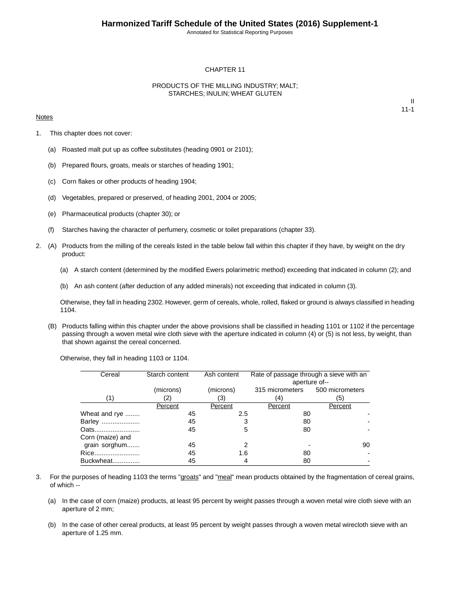Annotated for Statistical Reporting Purposes

#### CHAPTER 11

#### PRODUCTS OF THE MILLING INDUSTRY; MALT; STARCHES; INULIN; WHEAT GLUTEN

#### **Notes**

II 11-1

- 1. This chapter does not cover:
	- (a) Roasted malt put up as coffee substitutes (heading 0901 or 2101);
	- (b) Prepared flours, groats, meals or starches of heading 1901;
	- (c) Corn flakes or other products of heading 1904;
	- (d) Vegetables, prepared or preserved, of heading 2001, 2004 or 2005;
	- (e) Pharmaceutical products (chapter 30); or
	- (f) Starches having the character of perfumery, cosmetic or toilet preparations (chapter 33).
- 2. (A) Products from the milling of the cereals listed in the table below fall within this chapter if they have, by weight on the dry product:
	- (a) A starch content (determined by the modified Ewers polarimetric method) exceeding that indicated in column (2); and
	- (b) An ash content (after deduction of any added minerals) not exceeding that indicated in column (3).

Otherwise, they fall in heading 2302. However, germ of cereals, whole, rolled, flaked or ground is always classified in heading 1104.

(B) Products falling within this chapter under the above provisions shall be classified in heading 1101 or 1102 if the percentage passing through a woven metal wire cloth sieve with the aperture indicated in column (4) or (5) is not less, by weight, than that shown against the cereal concerned.

Otherwise, they fall in heading 1103 or 1104.

| Cereal           | Starch content | Ash content | Rate of passage through a sieve with an |               |  |
|------------------|----------------|-------------|-----------------------------------------|---------------|--|
|                  |                |             |                                         | aperture of-- |  |
|                  | (microns)      | (microns)   | 315 micrometers 500 micrometers         |               |  |
|                  |                |             |                                         |               |  |
| (1)              | (2)            | (3)         | (4)                                     | (5)           |  |
|                  | Percent        | Percent     | Percent                                 | Percent       |  |
| Wheat and rye    | 45             | 2.5         | 80                                      |               |  |
| Barley           | 45             | 3           | 80                                      |               |  |
| Oats             | 45             | 5           | 80                                      |               |  |
| Corn (maize) and |                |             |                                         |               |  |
| grain sorghum    | 45             | 2           |                                         | 90            |  |
| Rice             | 45             | 1.6         | 80                                      |               |  |
| Buckwheat        | 45             | 4           | 80                                      |               |  |

- 3. For the purposes of heading 1103 the terms "groats" and "meal" mean products obtained by the fragmentation of cereal grains, of which --
	- (a) In the case of corn (maize) products, at least 95 percent by weight passes through a woven metal wire cloth sieve with an aperture of 2 mm;
	- (b) In the case of other cereal products, at least 95 percent by weight passes through a woven metal wirecloth sieve with an aperture of 1.25 mm.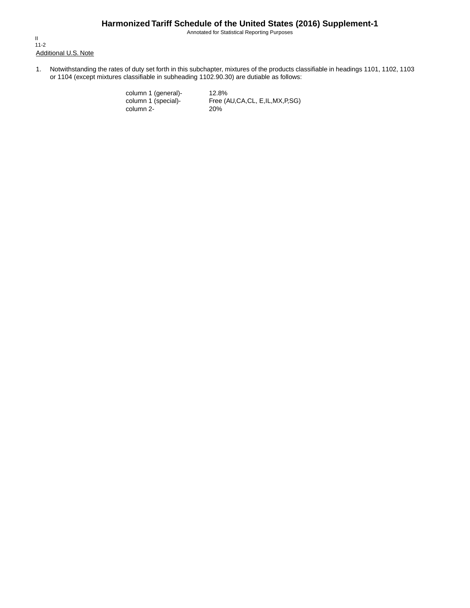Annotated for Statistical Reporting Purposes

Additional U.S. Note II 11-2

1. Notwithstanding the rates of duty set forth in this subchapter, mixtures of the products classifiable in headings 1101, 1102, 1103 or 1104 (except mixtures classifiable in subheading 1102.90.30) are dutiable as follows:

> column 1 (general)- 12.8%<br>column 1 (special)- Free (A column 2-

Free (AU,CA,CL, E,IL,MX,P,SG)<br>20%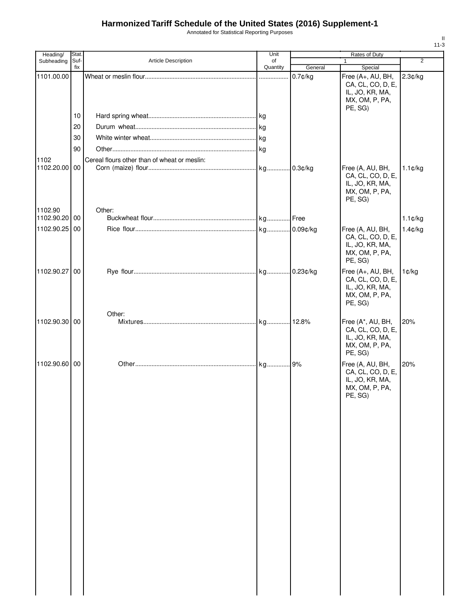Annotated for Statistical Reporting Purposes

| Heading/      | Stat. |                                              | Unit     |             | Rates of Duty                                                                          |                   |
|---------------|-------|----------------------------------------------|----------|-------------|----------------------------------------------------------------------------------------|-------------------|
| Subheading    | Suf-  | Article Description                          | of       |             |                                                                                        | $\overline{2}$    |
|               | fix   |                                              | Quantity | General     | Special                                                                                |                   |
| 1101.00.00    |       |                                              |          | $0.7$ ¢/kg  | Free (A+, AU, BH,<br>CA, CL, CO, D, E,<br>IL, JO, KR, MA,<br>MX, OM, P, PA,            | 2.3¢/kg           |
|               | 10    |                                              |          |             | PE, SG)                                                                                |                   |
|               |       |                                              |          |             |                                                                                        |                   |
|               | 20    |                                              |          |             |                                                                                        |                   |
|               | 30    |                                              |          |             |                                                                                        |                   |
|               | 90    |                                              |          |             |                                                                                        |                   |
| 1102          |       | Cereal flours other than of wheat or meslin: |          |             |                                                                                        |                   |
| 1102.20.00 00 |       |                                              |          | 0.3¢/kg     | Free (A, AU, BH,<br>CA, CL, CO, D, E,<br>IL, JO, KR, MA,<br>MX, OM, P, PA,<br>PE, SG)  | $1.1 \text{C/kg}$ |
| 1102.90       |       | Other:                                       |          |             |                                                                                        |                   |
| 1102.90.20 00 |       |                                              |          |             |                                                                                        | $1.1$ ¢/kg        |
| 1102.90.25 00 |       |                                              |          |             | Free (A, AU, BH,                                                                       | 1.4¢/kg           |
|               |       |                                              |          |             | CA, CL, CO, D, E,<br>IL, JO, KR, MA,<br>MX, OM, P, PA,<br>PE, SG)                      |                   |
| 1102.90.27 00 |       |                                              |          | $0.23$ ¢/kg | Free (A+, AU, BH,<br>CA, CL, CO, D, E,                                                 | 1¢/kg             |
|               |       |                                              |          |             | IL, JO, KR, MA,<br>MX, OM, P, PA,<br>PE, SG)                                           |                   |
|               |       | Other:                                       |          |             |                                                                                        |                   |
| 1102.90.30 00 |       |                                              |          |             | Free (A*, AU, BH,<br>CA, CL, CO, D, E,<br>IL, JO, KR, MA,<br>MX, OM, P, PA,<br>PE, SG) | 20%               |
| 1102.90.60 00 |       |                                              |          | 9%          | Free (A, AU, BH,                                                                       | 20%               |
|               |       |                                              |          |             | CA, CL, CO, D, E,<br>IL, JO, KR, MA,<br>MX, OM, P, PA,<br>PE, SG)                      |                   |
|               |       |                                              |          |             |                                                                                        |                   |
|               |       |                                              |          |             |                                                                                        |                   |
|               |       |                                              |          |             |                                                                                        |                   |
|               |       |                                              |          |             |                                                                                        |                   |
|               |       |                                              |          |             |                                                                                        |                   |
|               |       |                                              |          |             |                                                                                        |                   |
|               |       |                                              |          |             |                                                                                        |                   |
|               |       |                                              |          |             |                                                                                        |                   |
|               |       |                                              |          |             |                                                                                        |                   |
|               |       |                                              |          |             |                                                                                        |                   |
|               |       |                                              |          |             |                                                                                        |                   |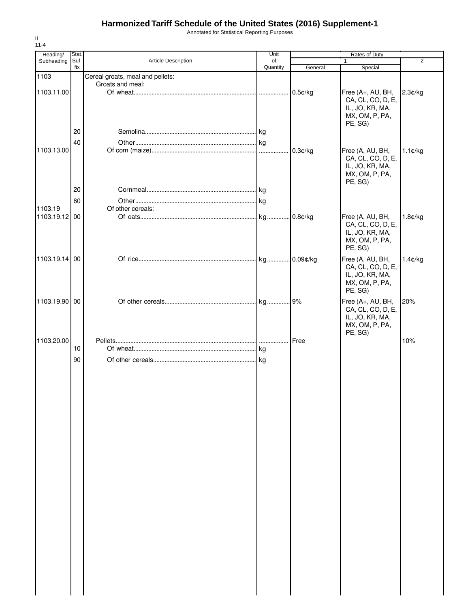Annotated for Statistical Reporting Purposes

| Heading/      | Stat.       |                                  | Unit           |            | Rates of Duty                                                                          |                   |
|---------------|-------------|----------------------------------|----------------|------------|----------------------------------------------------------------------------------------|-------------------|
| Subheading    | Suf-<br>fix | Article Description              | of<br>Quantity | General    | 1<br>Special                                                                           | $\overline{2}$    |
| 1103          |             | Cereal groats, meal and pellets: |                |            |                                                                                        |                   |
|               |             | Groats and meal:                 |                |            |                                                                                        |                   |
| 1103.11.00    |             |                                  |                | $0.5$ ¢/kg | Free (A+, AU, BH,<br>CA, CL, CO, D, E,<br>IL, JO, KR, MA,<br>MX, OM, P, PA,<br>PE, SG) | 2.3¢/kg           |
|               | 20          |                                  |                |            |                                                                                        |                   |
|               | 40          |                                  |                |            |                                                                                        |                   |
| 1103.13.00    |             |                                  |                | 0.3¢/kg    | Free (A, AU, BH,                                                                       | $1.1 \text{C/kg}$ |
|               |             |                                  |                |            | CA, CL, CO, D, E,<br>IL, JO, KR, MA,<br>MX, OM, P, PA,<br>PE, SG)                      |                   |
|               | 20          |                                  |                |            |                                                                                        |                   |
|               | 60          |                                  |                |            |                                                                                        |                   |
| 1103.19       |             | Of other cereals:                |                |            |                                                                                        |                   |
| 1103.19.12 00 |             |                                  |                | .0.8¢/kg   | Free (A, AU, BH,<br>CA, CL, CO, D, E,<br>IL, JO, KR, MA,<br>MX, OM, P, PA,<br>PE, SG)  | 1.8¢/kg           |
| 1103.19.14 00 |             |                                  | kg             | 0.09¢/kg   | Free (A, AU, BH,                                                                       | 1.4¢/kg           |
|               |             |                                  |                |            | CA, CL, CO, D, E,<br>IL, JO, KR, MA,<br>MX, OM, P, PA,<br>PE, SG)                      |                   |
| 1103.19.90 00 |             |                                  |                |            | Free (A+, AU, BH,<br>CA, CL, CO, D, E,<br>IL, JO, KR, MA,<br>MX, OM, P, PA,            | 20%               |
| 1103.20.00    |             |                                  |                | Free       | PE, SG)                                                                                | 10%               |
|               | 10          |                                  |                |            |                                                                                        |                   |
|               | 90          |                                  |                |            |                                                                                        |                   |
|               |             |                                  |                |            |                                                                                        |                   |
|               |             |                                  |                |            |                                                                                        |                   |
|               |             |                                  |                |            |                                                                                        |                   |
|               |             |                                  |                |            |                                                                                        |                   |
|               |             |                                  |                |            |                                                                                        |                   |
|               |             |                                  |                |            |                                                                                        |                   |
|               |             |                                  |                |            |                                                                                        |                   |
|               |             |                                  |                |            |                                                                                        |                   |
|               |             |                                  |                |            |                                                                                        |                   |
|               |             |                                  |                |            |                                                                                        |                   |
|               |             |                                  |                |            |                                                                                        |                   |
|               |             |                                  |                |            |                                                                                        |                   |
|               |             |                                  |                |            |                                                                                        |                   |
|               |             |                                  |                |            |                                                                                        |                   |
|               |             |                                  |                |            |                                                                                        |                   |
|               |             |                                  |                |            |                                                                                        |                   |
|               |             |                                  |                |            |                                                                                        |                   |
|               |             |                                  |                |            |                                                                                        |                   |
|               |             |                                  |                |            |                                                                                        |                   |
|               |             |                                  |                |            |                                                                                        |                   |
|               |             |                                  |                |            |                                                                                        |                   |
|               |             |                                  |                |            |                                                                                        |                   |
|               |             |                                  |                |            |                                                                                        |                   |
|               |             |                                  |                |            |                                                                                        |                   |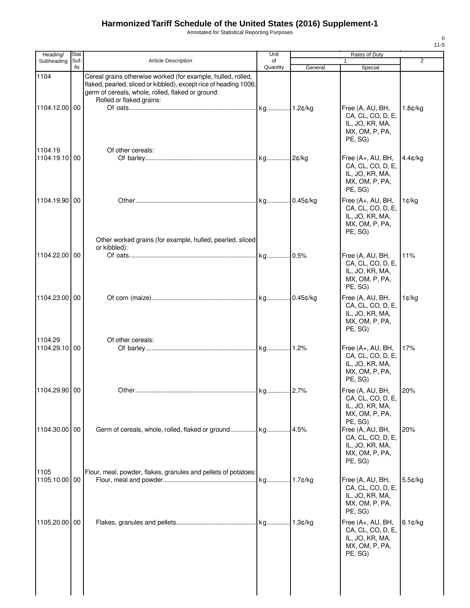Annotated for Statistical Reporting Purposes

| Heading/                 | Stat.       |                                                                                                                                                                                                                    | Unit                 |           | Rates of Duty                                                                          |            |
|--------------------------|-------------|--------------------------------------------------------------------------------------------------------------------------------------------------------------------------------------------------------------------|----------------------|-----------|----------------------------------------------------------------------------------------|------------|
| Subheading               | Suf-<br>fix | Article Description                                                                                                                                                                                                | οf<br>Quantity       | General   | $\mathbf{1}$<br>Special                                                                | 2          |
| 1104<br>1104.12.00 00    |             | Cereal grains otherwise worked (for example, hulled, rolled,<br>flaked, pearled, sliced or kibbled), except rice of heading 1006;<br>germ of cereals, whole, rolled, flaked or ground:<br>Rolled or flaked grains: |                      |           | Free (A, AU, BH,<br>CA, CL, CO, D, E,<br>IL, JO, KR, MA,<br>MX, OM, P, PA,<br>PE, SG)  | 1.8¢/kg    |
| 1104.19<br>1104.19.10 00 |             | Of other cereals:                                                                                                                                                                                                  |                      |           | Free (A+, AU, BH,<br>CA, CL, CO, D, E,<br>IL, JO, KR, MA,<br>MX, OM, P, PA,<br>PE, SG) | $4.4$ c/kg |
| 1104.19.90 00            |             | Other worked grains (for example, hulled, pearled, sliced                                                                                                                                                          |                      |           | Free (A+, AU, BH,<br>CA, CL, CO, D, E,<br>IL, JO, KR, MA,<br>MX, OM, P, PA,<br>PE, SG) | 1¢/kg      |
| 1104.22.00 00            |             | or kibbled):                                                                                                                                                                                                       |                      |           | Free (A, AU, BH,<br>CA, CL, CO, D, E,<br>IL, JO, KR, MA,<br>MX, OM, P, PA,<br>PE, SG)  | 11%        |
| 1104.23.00 00            |             |                                                                                                                                                                                                                    |                      |           | Free (A, AU, BH,<br>CA, CL, CO, D, E,<br>IL, JO, KR, MA,<br>MX, OM, P, PA,<br>PE, SG)  | 1¢/kg      |
| 1104.29<br>1104.29.10 00 |             | Of other cereals:                                                                                                                                                                                                  |                      |           | Free (A+, AU, BH,<br>CA, CL, CO, D, E,<br>IL, JO, KR, MA,<br>MX, OM, P, PA,<br>PE, SG) | 17%        |
| 1104.29.90 00            |             |                                                                                                                                                                                                                    | kg <mark>2.7%</mark> |           | Free (A, AU, BH,<br>CA, CL, CO, D, E,<br>IL, JO, KR, MA,<br>MX, OM, P, PA,<br>PE, SG)  | 20%        |
| 1104.30.00 00            |             | Germ of cereals, whole, rolled, flaked or ground kg                                                                                                                                                                |                      | .4.5%     | Free (A, AU, BH,<br>CA, CL, CO, D, E,<br>IL, JO, KR, MA,<br>MX, OM, P, PA,<br>PE, SG)  | 20%        |
| 1105<br>1105.10.00 00    |             | Flour, meal, powder, flakes, granules and pellets of potatoes:                                                                                                                                                     |                      |           | Free (A, AU, BH,<br>CA, CL, CO, D, E,<br>IL, JO, KR, MA,<br>MX, OM, P, PA,<br>PE, SG)  | 5.5¢/kg    |
| 1105.20.00 00            |             |                                                                                                                                                                                                                    |                      | l 1.3¢/kq | Free (A+, AU, BH,<br>CA, CL, CO, D, E,<br>IL, JO, KR, MA,<br>MX, OM, P, PA,<br>PE, SG) | $6.1$ ¢/kg |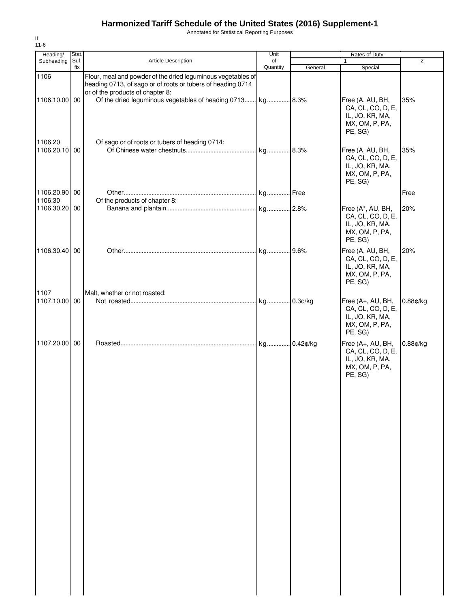Annotated for Statistical Reporting Purposes

| Heading/                 | Stat.       |                                                                                                                                                                 | Unit           |         | Rates of Duty                                                                          |          |
|--------------------------|-------------|-----------------------------------------------------------------------------------------------------------------------------------------------------------------|----------------|---------|----------------------------------------------------------------------------------------|----------|
| Subheading               | Suf-<br>fix | <b>Article Description</b>                                                                                                                                      | of<br>Quantity | General | $\mathbf{1}$<br>Special                                                                | 2        |
| 1106                     |             | Flour, meal and powder of the dried leguminous vegetables of<br>heading 0713, of sago or of roots or tubers of heading 0714<br>or of the products of chapter 8: |                |         |                                                                                        |          |
| 1106.10.00 00            |             | Of the dried leguminous vegetables of heading 0713 kg 8.3%                                                                                                      |                |         | Free (A, AU, BH,<br>CA, CL, CO, D, E,<br>IL, JO, KR, MA,<br>MX, OM, P, PA,<br>PE, SG)  | 35%      |
| 1106.20<br>1106.20.10 00 |             | Of sago or of roots or tubers of heading 0714:                                                                                                                  |                |         | Free (A, AU, BH,<br>CA, CL, CO, D, E,<br>IL, JO, KR, MA,<br>MX, OM, P, PA,<br>PE, SG)  | 35%      |
| 1106.20.90 00            |             |                                                                                                                                                                 |                |         |                                                                                        | Free     |
| 1106.30<br>1106.30.20 00 |             | Of the products of chapter 8:                                                                                                                                   |                |         | Free (A*, AU, BH,<br>CA, CL, CO, D, E,<br>IL, JO, KR, MA,<br>MX, OM, P, PA,<br>PE, SG) | 20%      |
| 1106.30.40 00            |             |                                                                                                                                                                 |                |         | Free (A, AU, BH,<br>CA, CL, CO, D, E,<br>IL, JO, KR, MA,<br>MX, OM, P, PA,<br>PE, SG)  | 20%      |
| 1107<br>1107.10.00 00    |             | Malt, whether or not roasted:                                                                                                                                   |                |         | Free (A+, AU, BH,<br>CA, CL, CO, D, E,<br>IL, JO, KR, MA,<br>MX, OM, P, PA,<br>PE, SG) | 0.88¢/kg |
| 1107.20.00 00            |             |                                                                                                                                                                 |                |         | Free (A+, AU, BH,<br>CA, CL, CO, D, E,<br>IL, JO, KR, MA,<br>MX, OM, P, PA,<br>PE, SG) | 0.88¢/kg |